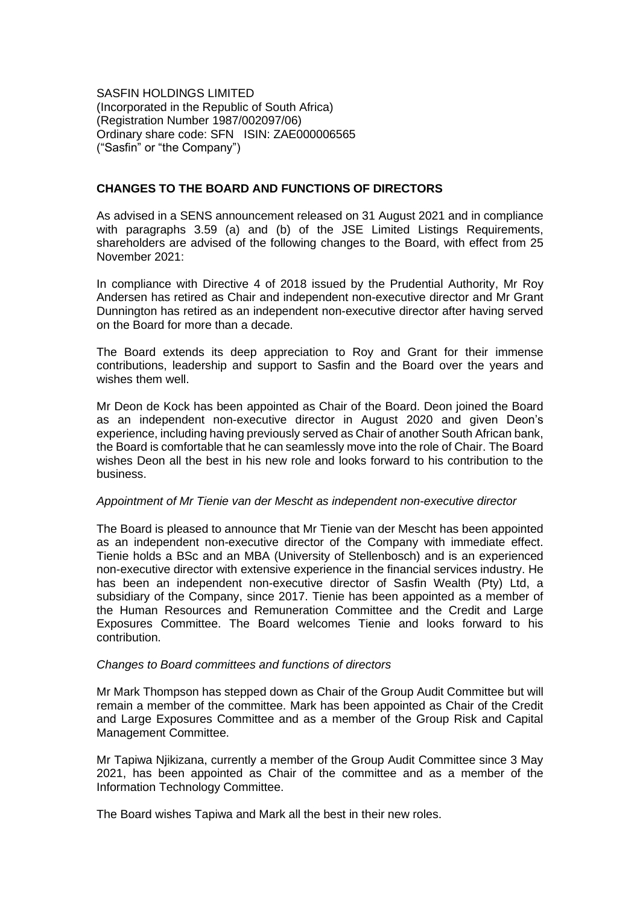SASFIN HOLDINGS LIMITED (Incorporated in the Republic of South Africa) (Registration Number 1987/002097/06) Ordinary share code: SFN ISIN: ZAE000006565 ("Sasfin" or "the Company")

## **CHANGES TO THE BOARD AND FUNCTIONS OF DIRECTORS**

As advised in a SENS announcement released on 31 August 2021 and in compliance with paragraphs 3.59 (a) and (b) of the JSE Limited Listings Requirements, shareholders are advised of the following changes to the Board, with effect from 25 November 2021:

In compliance with Directive 4 of 2018 issued by the Prudential Authority, Mr Roy Andersen has retired as Chair and independent non-executive director and Mr Grant Dunnington has retired as an independent non-executive director after having served on the Board for more than a decade.

The Board extends its deep appreciation to Roy and Grant for their immense contributions, leadership and support to Sasfin and the Board over the years and wishes them well.

Mr Deon de Kock has been appointed as Chair of the Board. Deon joined the Board as an independent non-executive director in August 2020 and given Deon's experience, including having previously served as Chair of another South African bank, the Board is comfortable that he can seamlessly move into the role of Chair. The Board wishes Deon all the best in his new role and looks forward to his contribution to the business.

### *Appointment of Mr Tienie van der Mescht as independent non-executive director*

The Board is pleased to announce that Mr Tienie van der Mescht has been appointed as an independent non-executive director of the Company with immediate effect. Tienie holds a BSc and an MBA (University of Stellenbosch) and is an experienced non-executive director with extensive experience in the financial services industry. He has been an independent non-executive director of Sasfin Wealth (Pty) Ltd, a subsidiary of the Company, since 2017. Tienie has been appointed as a member of the Human Resources and Remuneration Committee and the Credit and Large Exposures Committee. The Board welcomes Tienie and looks forward to his contribution.

### *Changes to Board committees and functions of directors*

Mr Mark Thompson has stepped down as Chair of the Group Audit Committee but will remain a member of the committee. Mark has been appointed as Chair of the Credit and Large Exposures Committee and as a member of the Group Risk and Capital Management Committee.

Mr Tapiwa Njikizana, currently a member of the Group Audit Committee since 3 May 2021, has been appointed as Chair of the committee and as a member of the Information Technology Committee.

The Board wishes Tapiwa and Mark all the best in their new roles.